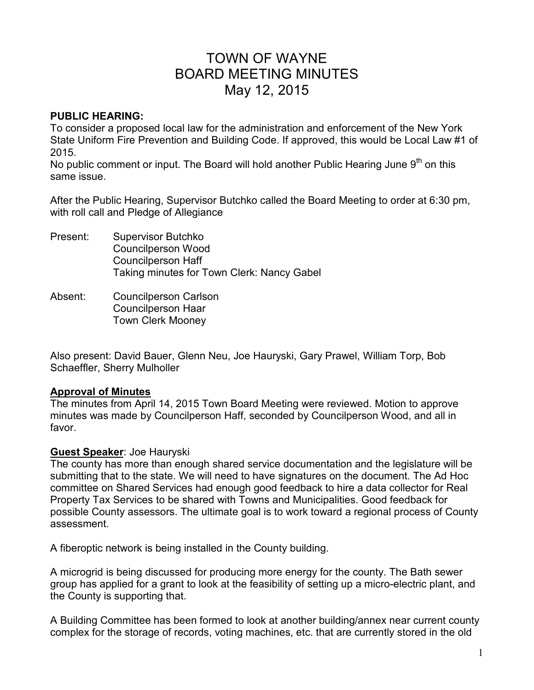# TOWN OF WAYNE BOARD MEETING MINUTES May 12, 2015

#### **PUBLIC HEARING:**

To consider a proposed local law for the administration and enforcement of the New York State Uniform Fire Prevention and Building Code. If approved, this would be Local Law #1 of 2015.

No public comment or input. The Board will hold another Public Hearing June  $9<sup>th</sup>$  on this same issue.

After the Public Hearing, Supervisor Butchko called the Board Meeting to order at 6:30 pm, with roll call and Pledge of Allegiance

Present: Supervisor Butchko Councilperson Wood Councilperson Haff Taking minutes for Town Clerk: Nancy Gabel

Absent: Councilperson Carlson Councilperson Haar Town Clerk Mooney

Also present: David Bauer, Glenn Neu, Joe Hauryski, Gary Prawel, William Torp, Bob Schaeffler, Sherry Mulholler

## **Approval of Minutes**

The minutes from April 14, 2015 Town Board Meeting were reviewed. Motion to approve minutes was made by Councilperson Haff, seconded by Councilperson Wood, and all in favor.

## **Guest Speaker**: Joe Hauryski

The county has more than enough shared service documentation and the legislature will be submitting that to the state. We will need to have signatures on the document. The Ad Hoc committee on Shared Services had enough good feedback to hire a data collector for Real Property Tax Services to be shared with Towns and Municipalities. Good feedback for possible County assessors. The ultimate goal is to work toward a regional process of County assessment.

A fiberoptic network is being installed in the County building.

A microgrid is being discussed for producing more energy for the county. The Bath sewer group has applied for a grant to look at the feasibility of setting up a micro-electric plant, and the County is supporting that.

A Building Committee has been formed to look at another building/annex near current county complex for the storage of records, voting machines, etc. that are currently stored in the old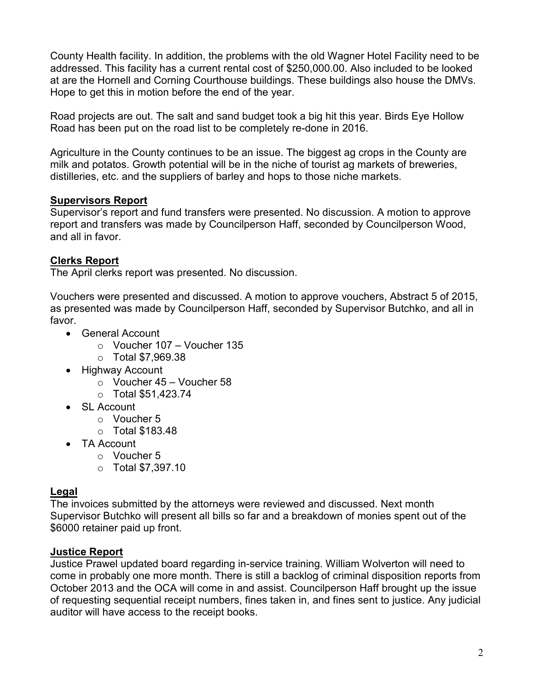County Health facility. In addition, the problems with the old Wagner Hotel Facility need to be addressed. This facility has a current rental cost of \$250,000.00. Also included to be looked at are the Hornell and Corning Courthouse buildings. These buildings also house the DMVs. Hope to get this in motion before the end of the year.

Road projects are out. The salt and sand budget took a big hit this year. Birds Eye Hollow Road has been put on the road list to be completely re-done in 2016.

Agriculture in the County continues to be an issue. The biggest ag crops in the County are milk and potatos. Growth potential will be in the niche of tourist ag markets of breweries, distilleries, etc. and the suppliers of barley and hops to those niche markets.

# **Supervisors Report**

Supervisor's report and fund transfers were presented. No discussion. A motion to approve report and transfers was made by Councilperson Haff, seconded by Councilperson Wood, and all in favor.

# **Clerks Report**

The April clerks report was presented. No discussion.

Vouchers were presented and discussed. A motion to approve vouchers, Abstract 5 of 2015, as presented was made by Councilperson Haff, seconded by Supervisor Butchko, and all in favor.

- General Account
	- o Voucher 107 Voucher 135
	- o Total \$7,969.38
- Highway Account
	- $\circ$  Voucher 45 Voucher 58
	- o Total \$51,423.74
- SL Account
	- o Voucher 5
	- o Total \$183.48
- TA Account
	- o Voucher 5
	- o Total \$7,397.10

# **Legal**

The invoices submitted by the attorneys were reviewed and discussed. Next month Supervisor Butchko will present all bills so far and a breakdown of monies spent out of the \$6000 retainer paid up front.

## **Justice Report**

Justice Prawel updated board regarding in-service training. William Wolverton will need to come in probably one more month. There is still a backlog of criminal disposition reports from October 2013 and the OCA will come in and assist. Councilperson Haff brought up the issue of requesting sequential receipt numbers, fines taken in, and fines sent to justice. Any judicial auditor will have access to the receipt books.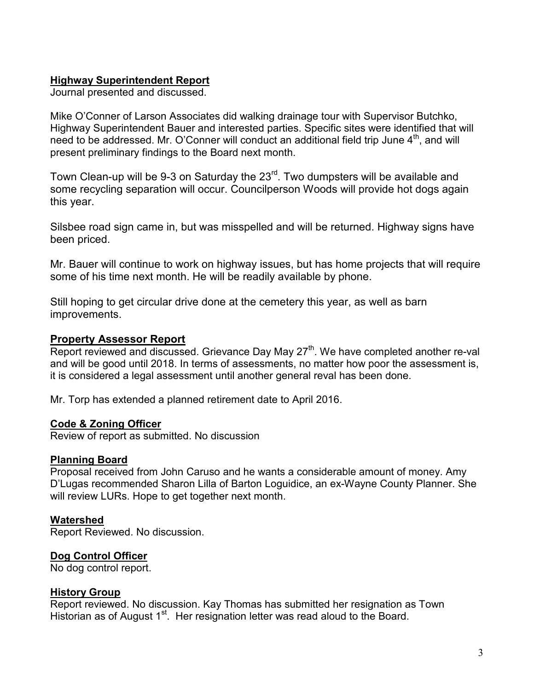## **Highway Superintendent Report**

Journal presented and discussed.

Mike O'Conner of Larson Associates did walking drainage tour with Supervisor Butchko, Highway Superintendent Bauer and interested parties. Specific sites were identified that will need to be addressed. Mr. O'Conner will conduct an additional field trip June  $4<sup>th</sup>$ , and will present preliminary findings to the Board next month.

Town Clean-up will be 9-3 on Saturday the 23<sup>rd</sup>. Two dumpsters will be available and some recycling separation will occur. Councilperson Woods will provide hot dogs again this year.

Silsbee road sign came in, but was misspelled and will be returned. Highway signs have been priced.

Mr. Bauer will continue to work on highway issues, but has home projects that will require some of his time next month. He will be readily available by phone.

Still hoping to get circular drive done at the cemetery this year, as well as barn improvements.

## **Property Assessor Report**

Report reviewed and discussed. Grievance Day May 27<sup>th</sup>. We have completed another re-val and will be good until 2018. In terms of assessments, no matter how poor the assessment is, it is considered a legal assessment until another general reval has been done.

Mr. Torp has extended a planned retirement date to April 2016.

## **Code & Zoning Officer**

Review of report as submitted. No discussion

## **Planning Board**

Proposal received from John Caruso and he wants a considerable amount of money. Amy D'Lugas recommended Sharon Lilla of Barton Loguidice, an ex-Wayne County Planner. She will review LURs. Hope to get together next month.

# **Watershed**

Report Reviewed. No discussion.

# **Dog Control Officer**

No dog control report.

## **History Group**

Report reviewed. No discussion. Kay Thomas has submitted her resignation as Town Historian as of August 1<sup>st</sup>. Her resignation letter was read aloud to the Board.